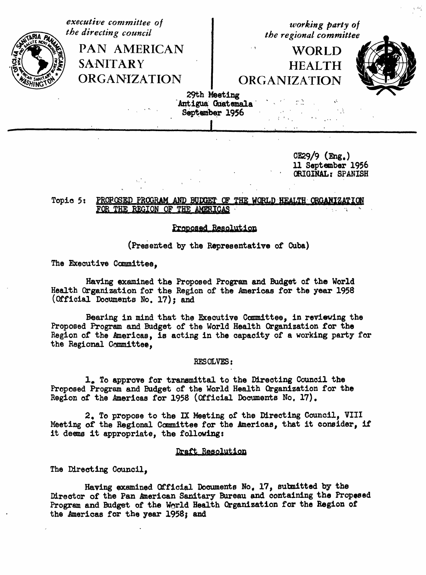executive committee of working party of the directing council the regional committee PAN AMERICAN **WORLD SANITARY HEALTH ORGANIZATION ORGANIZATION** 29th Meeting Antigua Guatemala September 1956

> $CE29/9$  (Eng.) 11 September 1956 ORIGINAL: SPANISH

## PROFOSED PROGRAM AND BUDGET OF THE WORLD HEALTH ORGANIZATION Topic 5: FOR THE REGION OF THE AMERICAS

## Proposed Resolution

(Presented by the Representative of Cuba)

The Executive Committee,

Having examined the Proposed Program and Budget of the World Health Organization for the Region of the Americas for the year 1958 (Official Documents No. 17): and

Bearing in mind that the Executive Committee, in reviewing the Proposed Program and Budget of the World Health Organization for the Region of the Americas, is acting in the capacity of a working party for the Regional Committee,

RESOLVES:

1. To approve for transmittal to the Directing Council the Proposed Program and Budget of the World Health Organization for the Region of the Americas for 1958 (Official Documents No. 17).

2. To propose to the IX Meeting of the Directing Council, VIII Meeting of the Regional Committee for the Americas, that it consider, if it deems it appropriate, the following:

## Draft Resolution

The Directing Council.

Having examined Official Documents No. 17, submitted by the Director of the Pan American Sanitary Bureau and containing the Propesed Program and Budget of the World Health Organization for the Region of the Americas for the year 1958; and